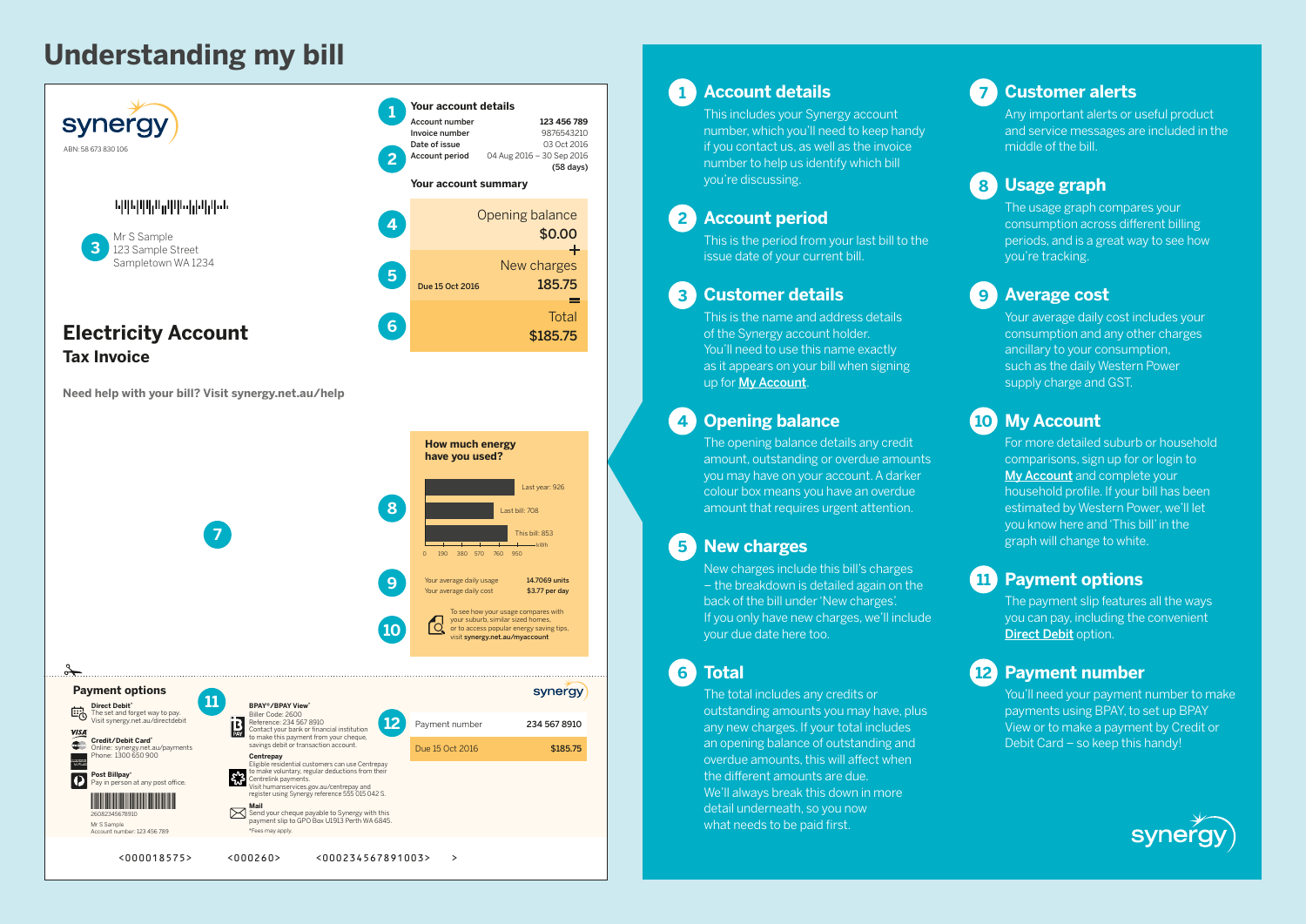# **Understanding my bill**



**Need help with your bill? Visit synergy.net.au/help**



# **1 Account details**

This includes your Synergy account number, which you'll need to keep handy if you contact us, as well as the invoice number to help us identify which bill you're discussing.

## **2 Account period**

This is the period from your last bill to the issue date of your current bill.

## **3 Customer details**

This is the name and address details of the Synergy account holder. You'll need to use this name exactly as it appears on your bill when signing up for [My Account](http://synergy.net.au/myaccount).

## **4 Opening balance**

The opening balance details any credit amount, outstanding or overdue amounts you may have on your account. A darker colour box means you have an overdue amount that requires urgent attention.

# **5 New charges**

New charges include this bill's charges – the breakdown is detailed again on the back of the bill under 'New charges'. If you only have new charges, we'll include your due date here too.

**6 Total**

The total includes any credits or outstanding amounts you may have, plus any new charges. If your total includes an opening balance of outstanding and overdue amounts, this will affect when the different amounts are due. We'll always break this down in more detail underneath, so you now what needs to be paid first.

## **7 Customer alerts**

Any important alerts or useful product and service messages are included in the middle of the bill.

# **8 Usage graph**

The usage graph compares your consumption across different billing periods, and is a great way to see how you're tracking.

## **9 Average cost**

Your average daily cost includes your consumption and any other charges ancillary to your consumption, such as the daily Western Power supply charge and GST.

# **10 My Account**

For more detailed suburb or household comparisons, sign up for or login to [My Account](http://synergy.net.au/myaccount) and complete your household profile. If your bill has been estimated by Western Power, we'll let you know here and 'This bill' in the graph will change to white.

# **11 Payment options**

The payment slip features all the ways you can pay, including the convenient [Direct Debit](http://synergy.net.au/directdebit) option.

## **12 Payment number**

You'll need your payment number to make payments using BPAY, to set up BPAY View or to make a payment by Credit or Debit Card – so keep this handy!